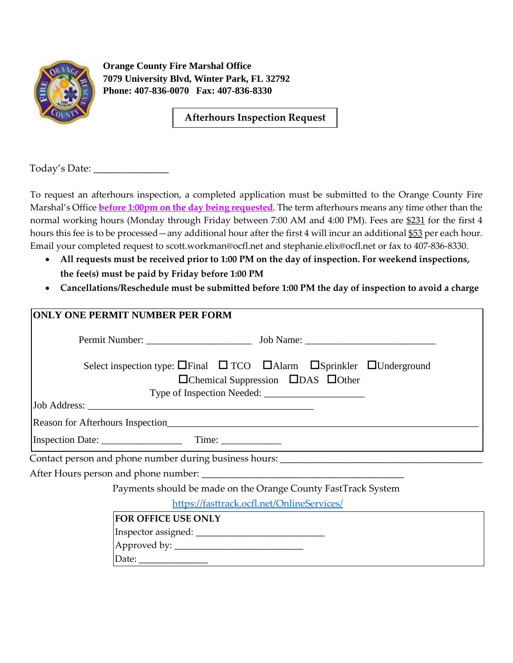

**Orange County Fire Marshal Office 7079 University Blvd, Winter Park, FL 32792 Phone: 407-836-0070 Fax: 407-836-8330** 

**Afterhours Inspection Request** 

Today's Date: \_\_\_\_\_\_\_\_\_\_\_\_\_\_\_

To request an afterhours inspection, a completed application must be submitted to the Orange County Fire Marshal's Office **before 1:00pm on the day being requested**. The term afterhours means any time other than the normal working hours (Monday through Friday between 7:00 AM and 4:00 PM). Fees are \$231 for the first 4 hours this fee is to be processed—any additional hour after the first 4 will incur an additional \$53 per each hour. Email your completed request to scott.workman@ocfl.net and stephanie.elix@ocfl.net or fax to 407-836-8330.

- **All requests must be received prior to 1:00 PM on the day of inspection. For weekend inspections, the fee(s) must be paid by Friday before 1:00 PM**
- **Cancellations/Reschedule must be submitted before 1:00 PM the day of inspection to avoid a charge**

| <b>ONLY ONE PERMIT NUMBER PER FORM</b>                                                           |  |  |  |  |  |
|--------------------------------------------------------------------------------------------------|--|--|--|--|--|
|                                                                                                  |  |  |  |  |  |
| Select inspection type: $\Box$ Final $\Box$ TCO $\Box$ Alarm $\Box$ Sprinkler $\Box$ Underground |  |  |  |  |  |
| $\Box$ Chemical Suppression $\Box$ DAS $\Box$ Other                                              |  |  |  |  |  |
|                                                                                                  |  |  |  |  |  |
|                                                                                                  |  |  |  |  |  |
|                                                                                                  |  |  |  |  |  |
|                                                                                                  |  |  |  |  |  |
|                                                                                                  |  |  |  |  |  |
|                                                                                                  |  |  |  |  |  |
| Payments should be made on the Orange County FastTrack System                                    |  |  |  |  |  |
| https://fasttrack.ocfl.net/OnlineServices/                                                       |  |  |  |  |  |
| FOR OFFICE USE ONLY                                                                              |  |  |  |  |  |
|                                                                                                  |  |  |  |  |  |
|                                                                                                  |  |  |  |  |  |
|                                                                                                  |  |  |  |  |  |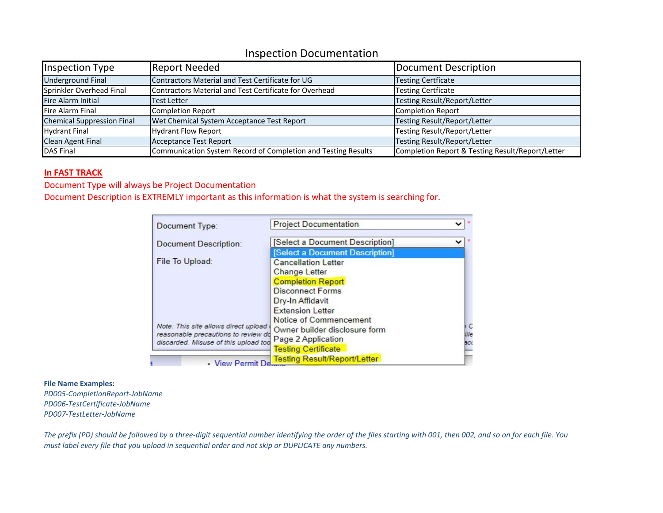## Inspection Documentation

| Inspection Type                   | <b>Report Needed</b>                                          | Document Description                             |
|-----------------------------------|---------------------------------------------------------------|--------------------------------------------------|
| <b>Underground Final</b>          | Contractors Material and Test Certificate for UG              | <b>Testing Certficate</b>                        |
| Sprinkler Overhead Final          | Contractors Material and Test Certificate for Overhead        | <b>Testing Certficate</b>                        |
| Fire Alarm Initial                | <b>Test Letter</b>                                            | Testing Result/Report/Letter                     |
| <b>Fire Alarm Final</b>           | Completion Report                                             | Completion Report                                |
| <b>Chemical Suppression Final</b> | Wet Chemical System Acceptance Test Report                    | Testing Result/Report/Letter                     |
| <b>Hydrant Final</b>              | <b>Hydrant Flow Report</b>                                    | Testing Result/Report/Letter                     |
| <b>Clean Agent Final</b>          | <b>Acceptance Test Report</b>                                 | Testing Result/Report/Letter                     |
| <b>DAS Final</b>                  | Communication System Record of Completion and Testing Results | Completion Report & Testing Result/Report/Letter |

## **In FAST TRACK**

Document Type will always be Project Documentation

Document Description is EXTREMLY important as this information is what the system is searching for.

| Document Type:                                                              | <b>Project Documentation</b>        |                     |
|-----------------------------------------------------------------------------|-------------------------------------|---------------------|
| <b>Document Description:</b>                                                | [Select a Document Description]     | v                   |
|                                                                             | [Select a Document Description]     |                     |
| File To Upload:                                                             | <b>Cancellation Letter</b>          |                     |
|                                                                             | <b>Change Letter</b>                |                     |
|                                                                             | <b>Completion Report</b>            |                     |
|                                                                             | <b>Disconnect Forms</b>             |                     |
|                                                                             | Dry-In Affidavit                    |                     |
|                                                                             | <b>Extension Letter</b>             |                     |
|                                                                             | Notice of Commencement              |                     |
| Note: This site allows direct upload                                        | Owner builder disclosure form       | $\epsilon$<br>iille |
| reasonable precautions to review do<br>discarded. Misuse of this upload too | Page 2 Application                  | BCC                 |
|                                                                             | <b>Testing Certificate</b>          |                     |
| • View Permit De                                                            | <b>Testing Result/Report/Letter</b> |                     |

## **File Name Examples:**

*PD005‐CompletionReport‐JobName PD006‐TestCertificate‐JobName PD007‐TestLetter‐JobName*

*The prefix (PD) should be followed by a three‐digit sequential number identifying the order of the files starting with 001, then 002, and so on for each file. You must label every file that you upload in sequential order and not skip or DUPLICATE any numbers.*